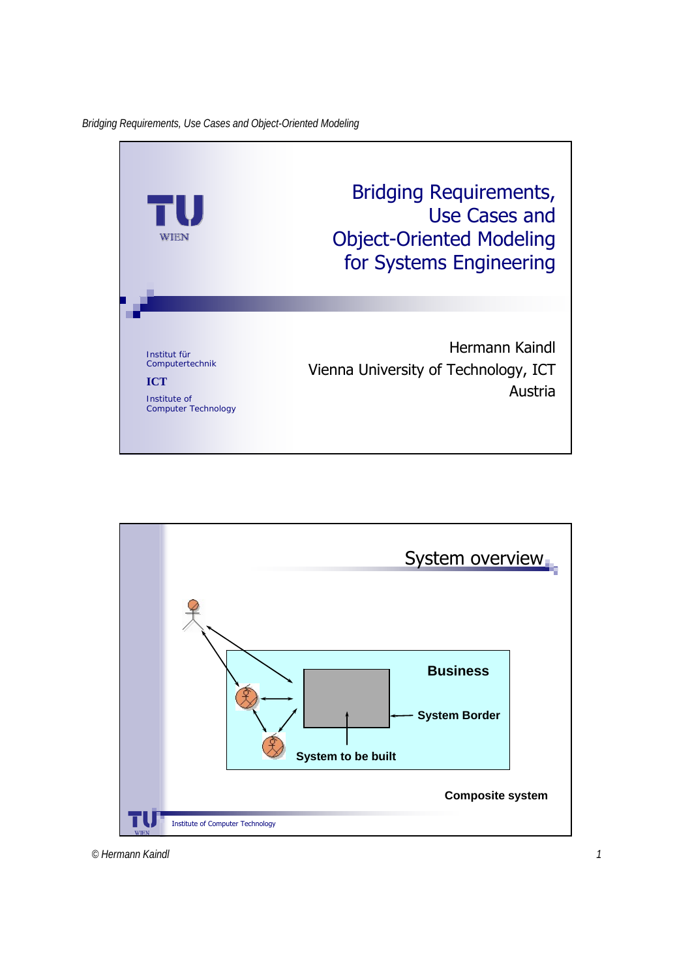

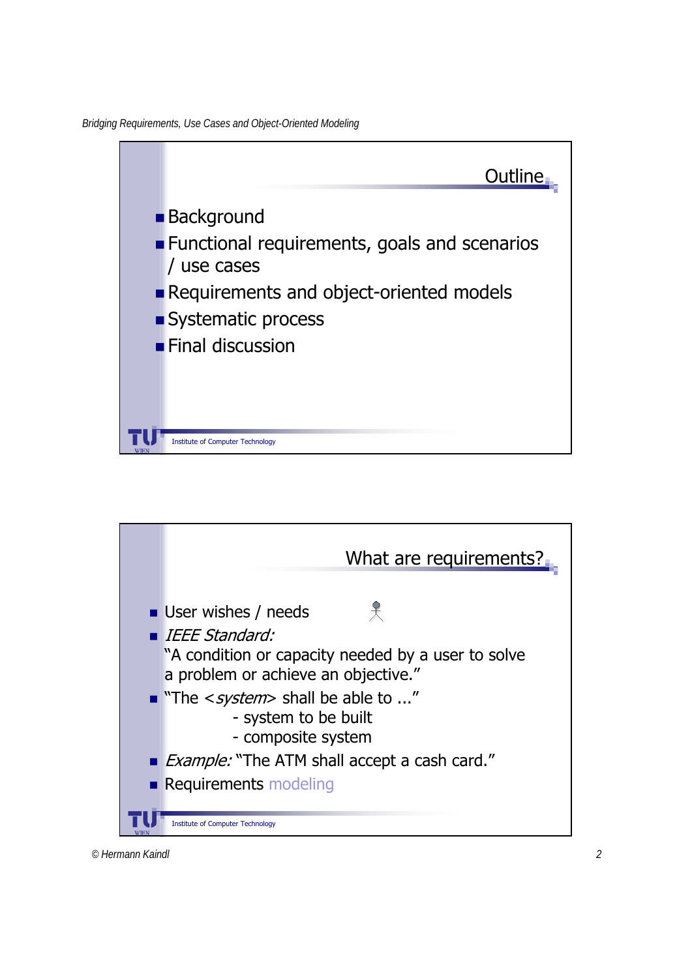*Bridging Requirements, Use Cases and Object-Oriented Modeling*





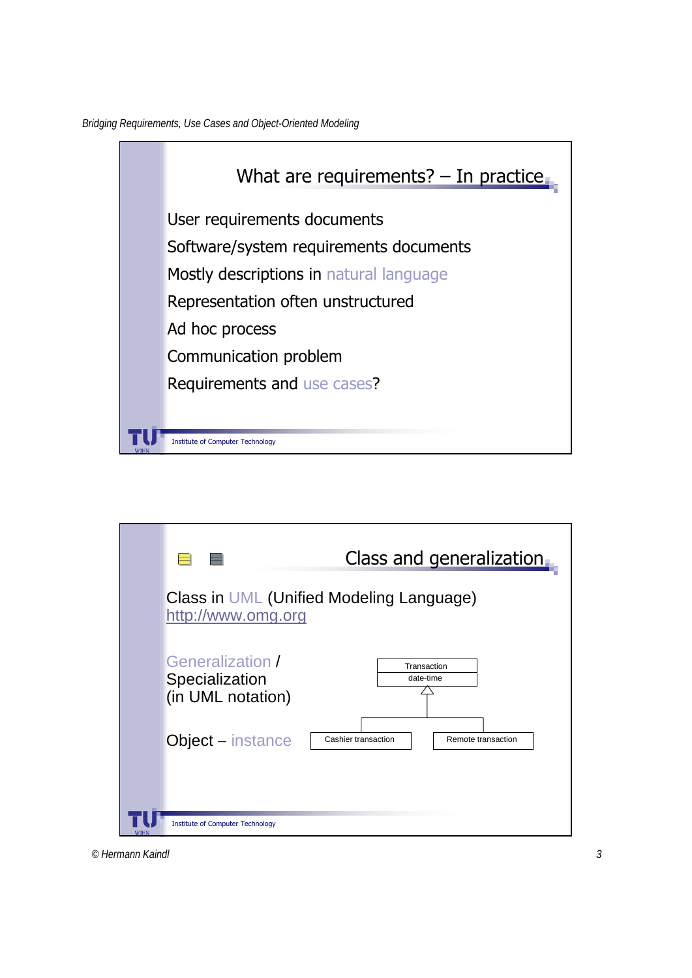*Bridging Requirements, Use Cases and Object-Oriented Modeling*



|             |                                                                | Class and generalization |                    |
|-------------|----------------------------------------------------------------|--------------------------|--------------------|
|             | Class in UML (Unified Modeling Language)<br>http://www.omg.org |                          |                    |
|             | Generalization /<br>Specialization<br>(in UML notation)        | Transaction<br>date-time |                    |
|             | <b>Object</b> – instance                                       | Cashier transaction      | Remote transaction |
| <b>WIEN</b> | <b>Institute of Computer Technology</b>                        |                          |                    |

*© Hermann Kaindl 3*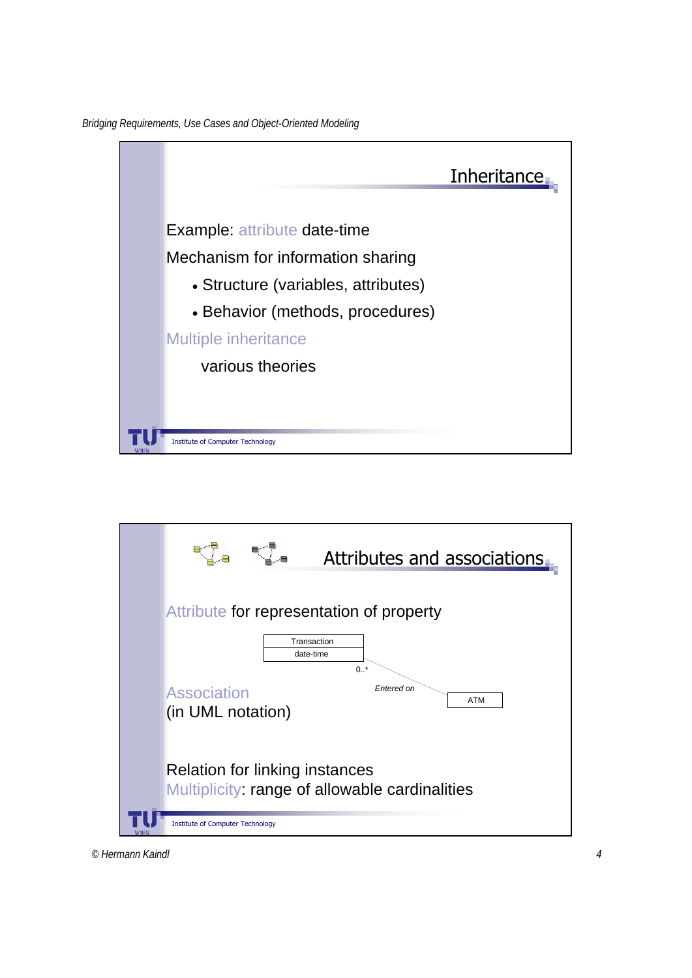*Bridging Requirements, Use Cases and Object-Oriented Modeling*





*© Hermann Kaindl 4*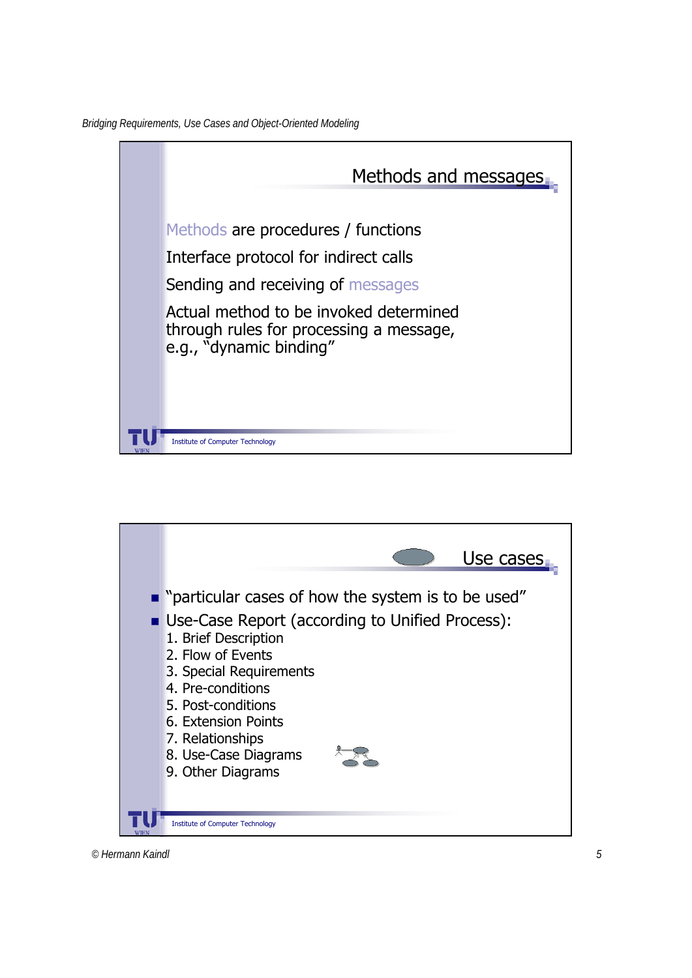



*© Hermann Kaindl 5*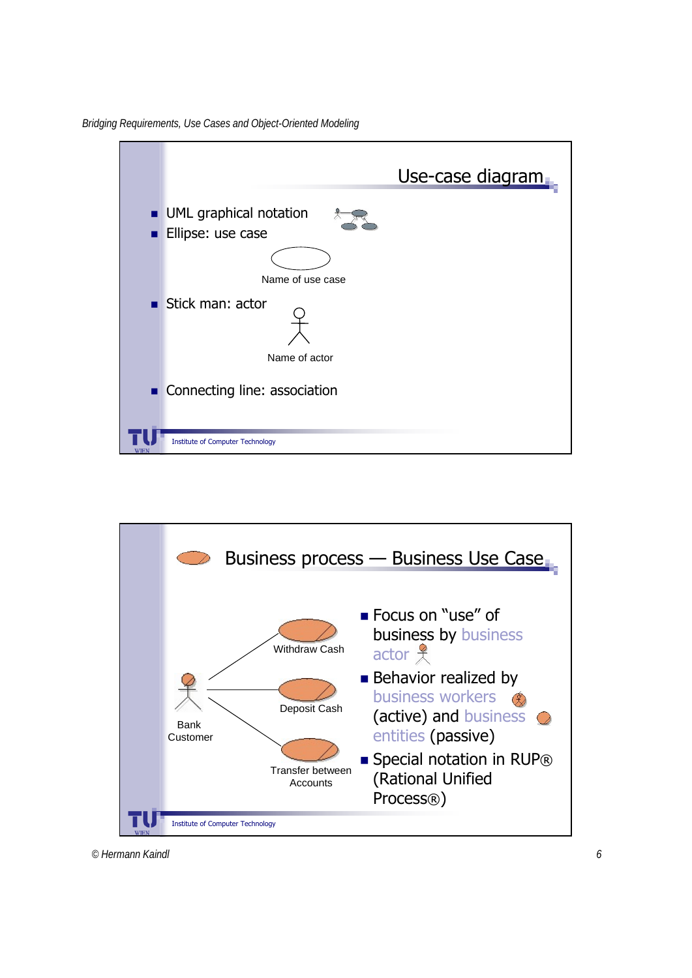*Bridging Requirements, Use Cases and Object-Oriented Modeling*



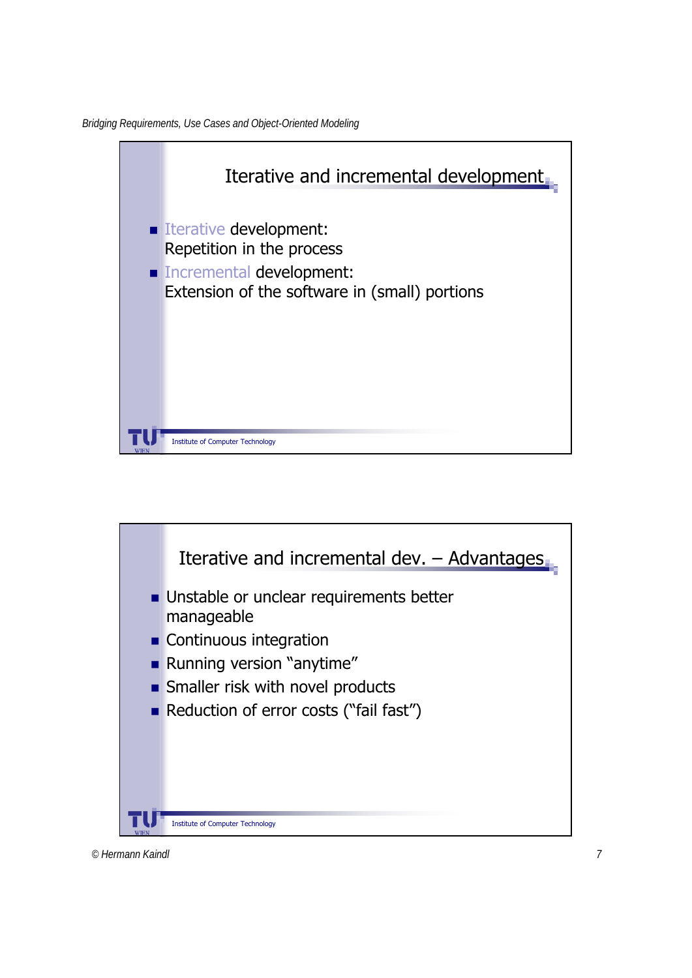



*© Hermann Kaindl 7*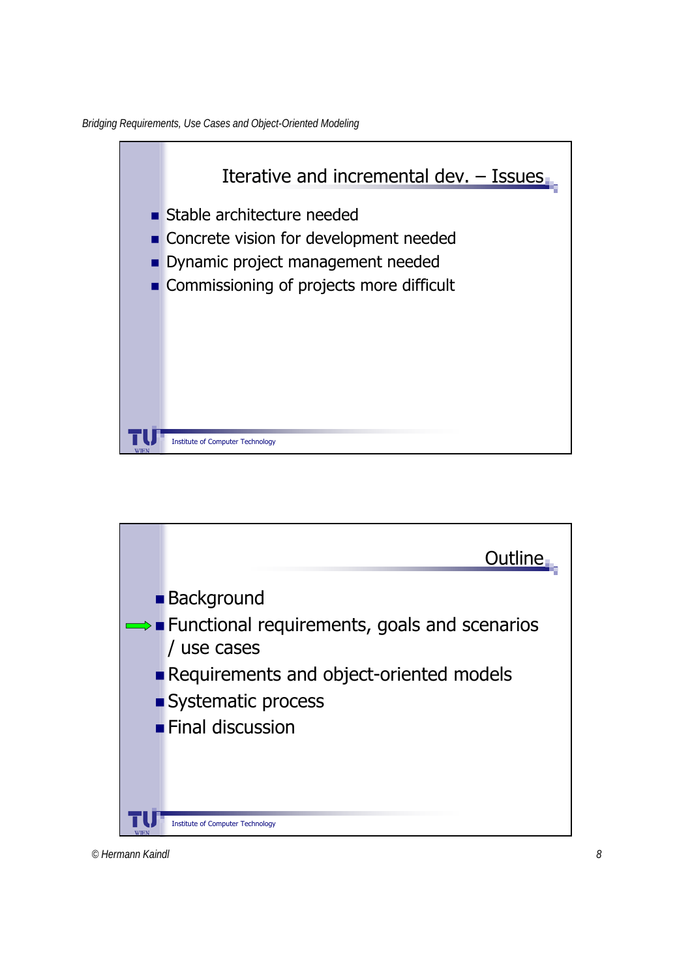*Bridging Requirements, Use Cases and Object-Oriented Modeling*



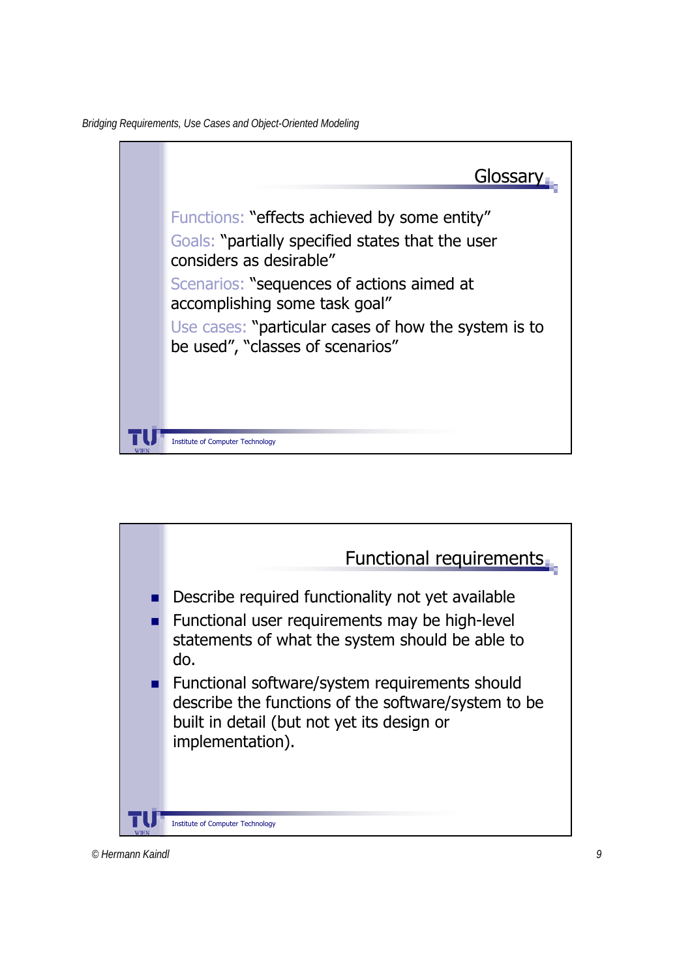*Bridging Requirements, Use Cases and Object-Oriented Modeling*



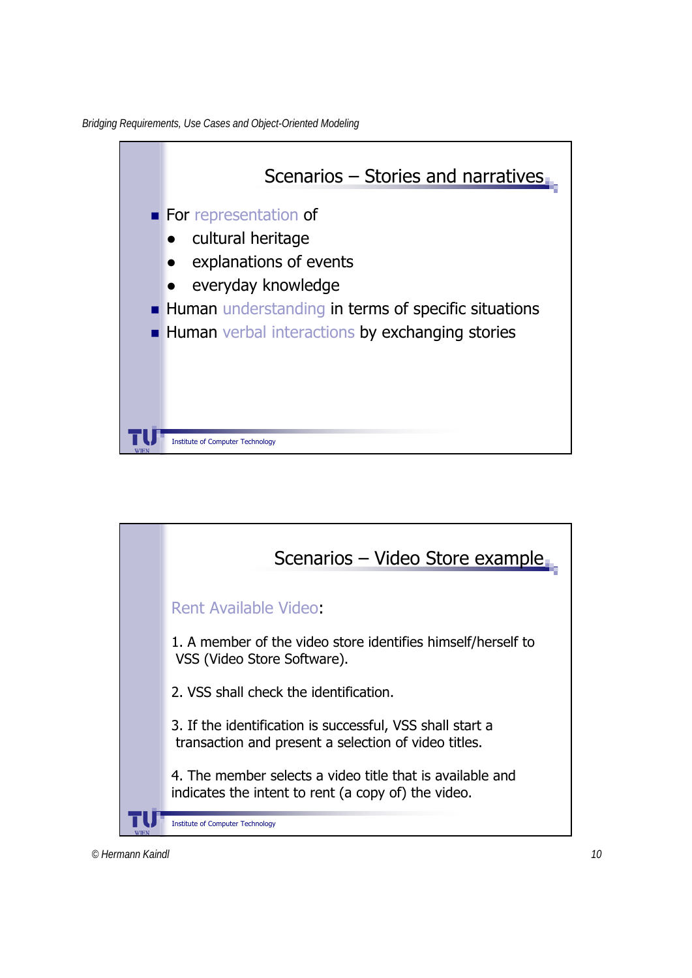*Bridging Requirements, Use Cases and Object-Oriented Modeling*



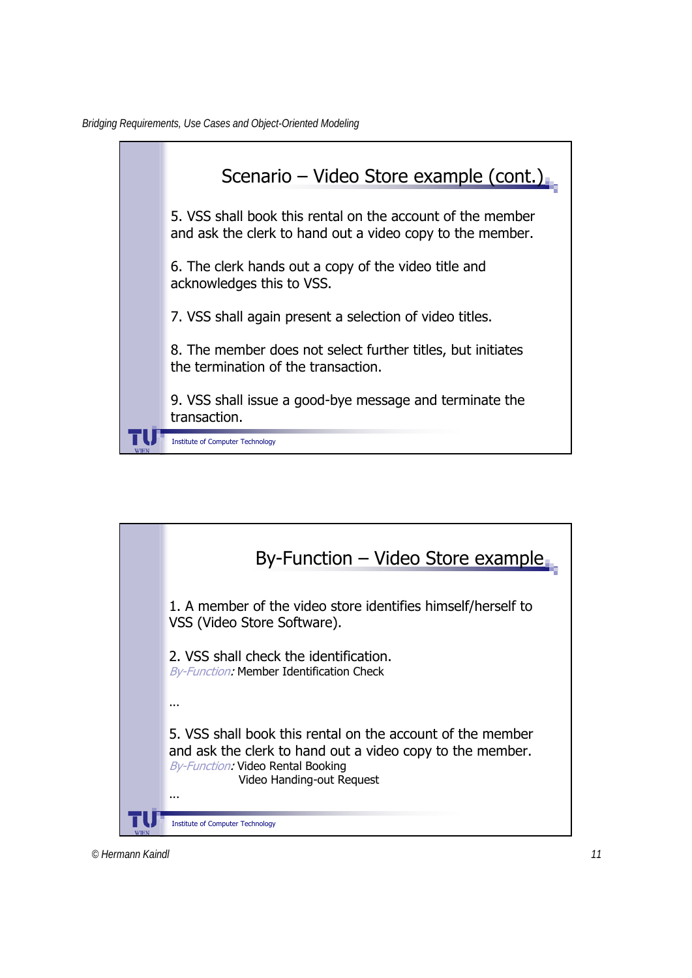

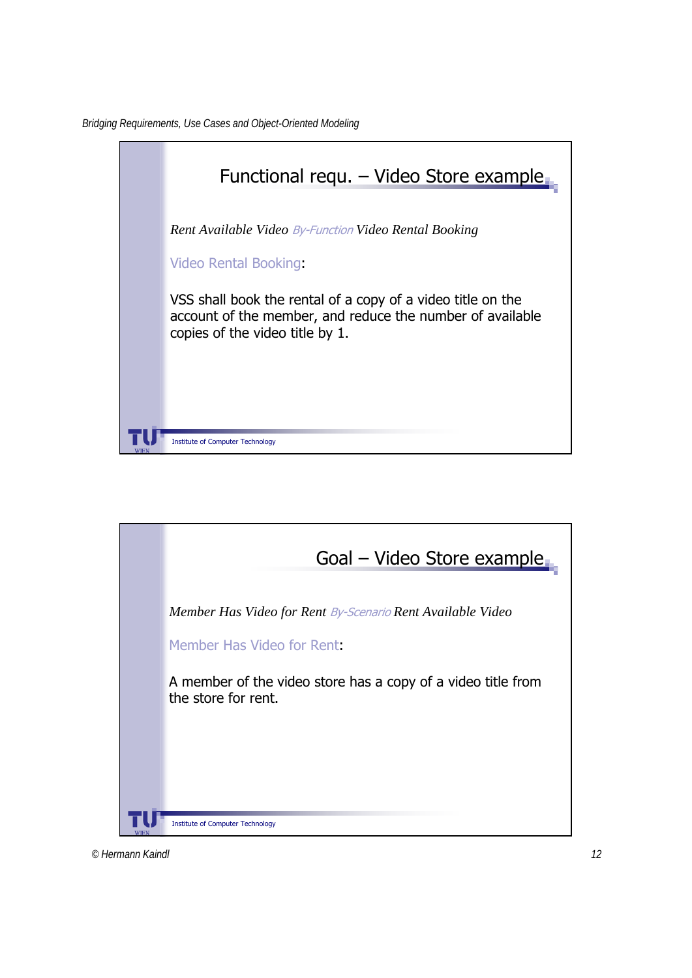

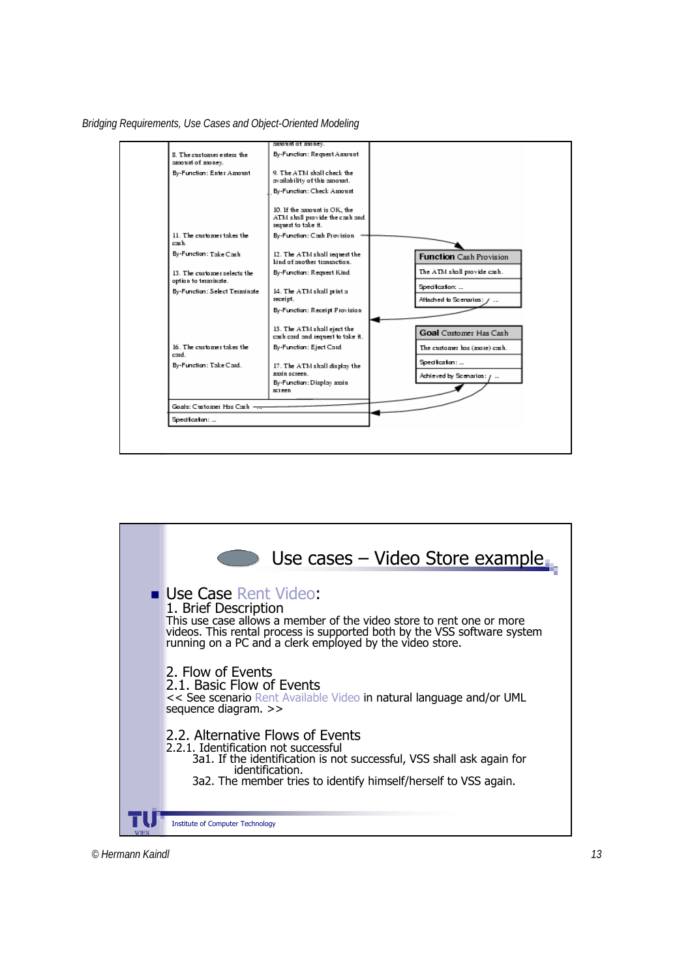



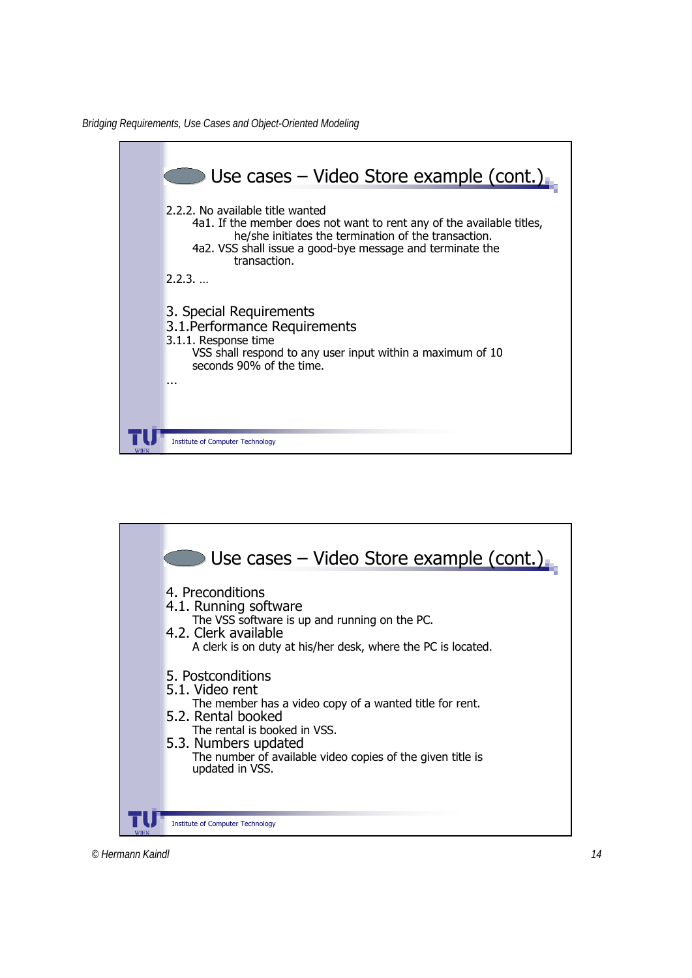

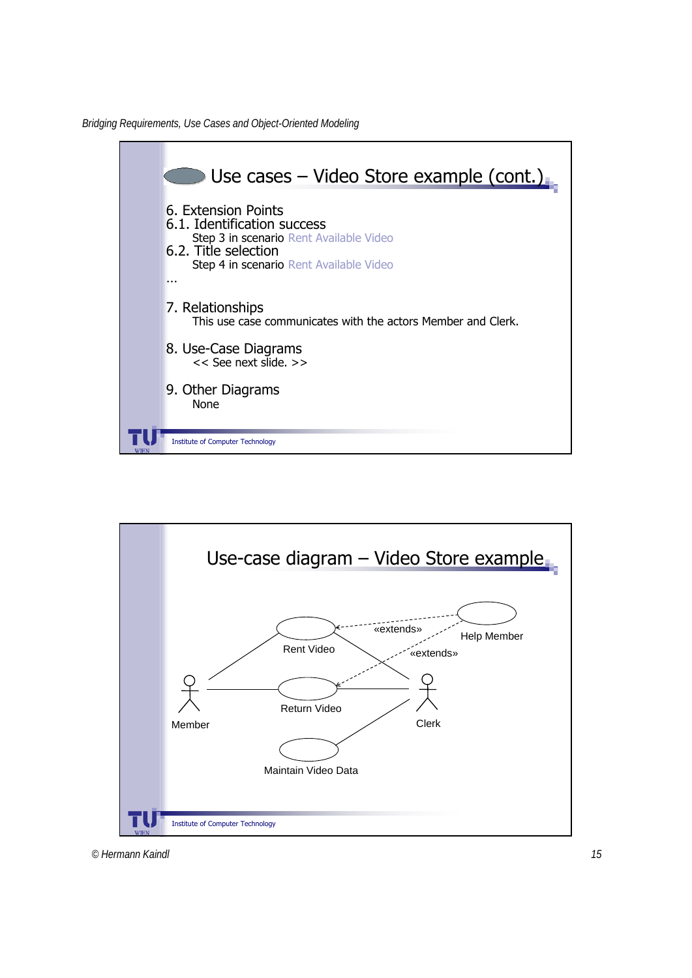*Bridging Requirements, Use Cases and Object-Oriented Modeling*



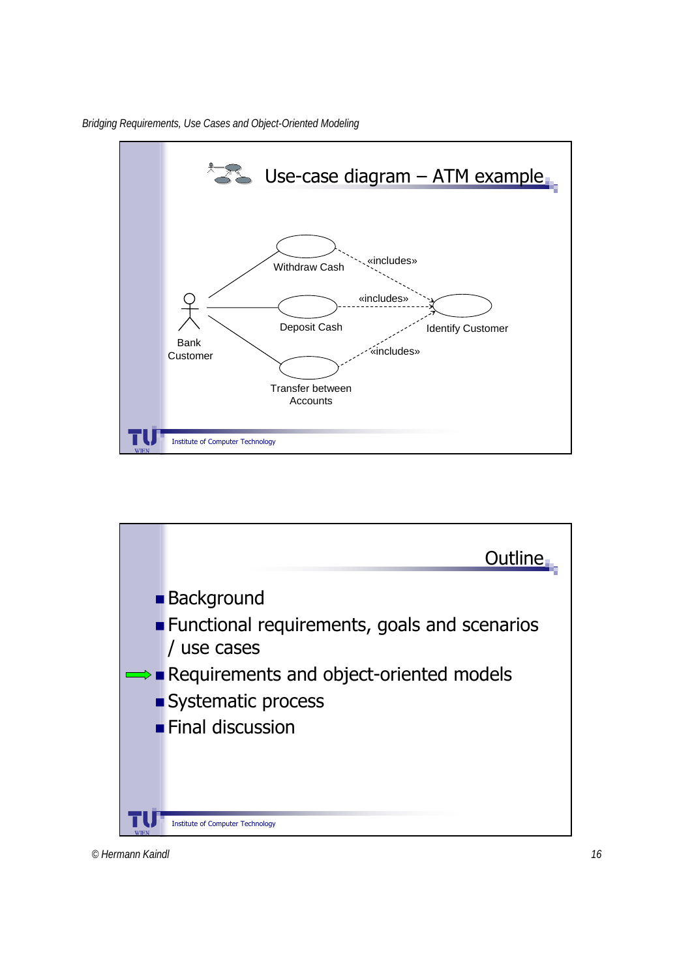



*© Hermann Kaindl 16*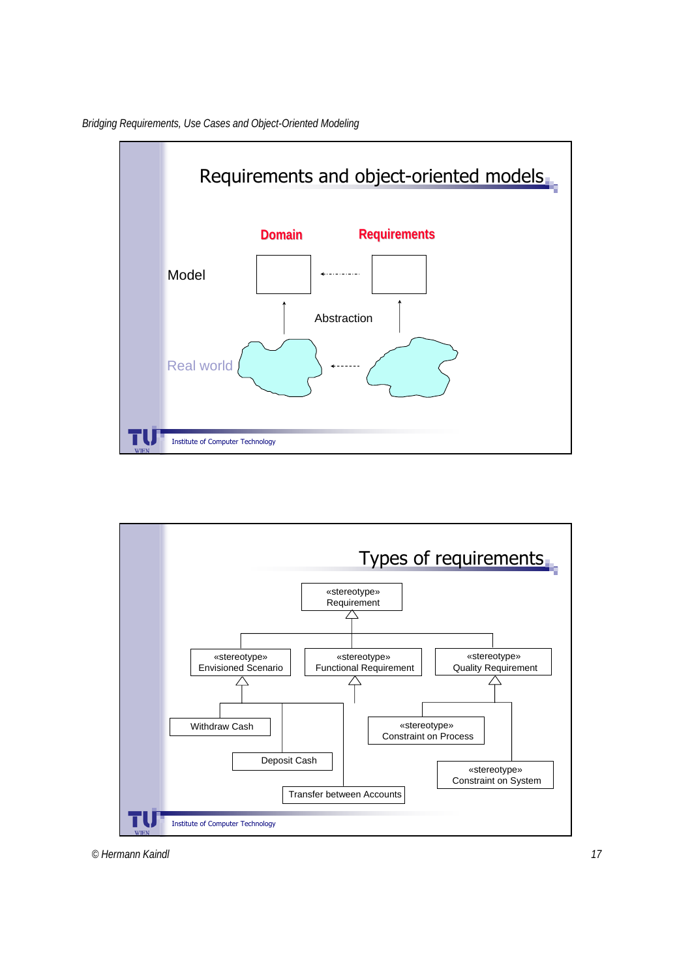

*Bridging Requirements, Use Cases and Object-Oriented Modeling*

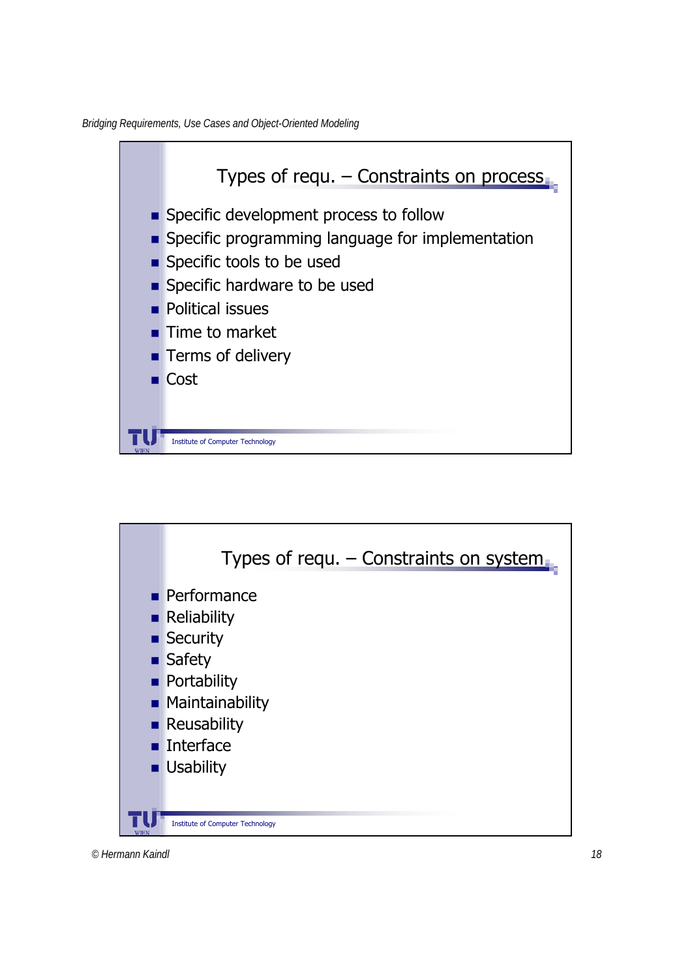*Bridging Requirements, Use Cases and Object-Oriented Modeling*





*© Hermann Kaindl 18*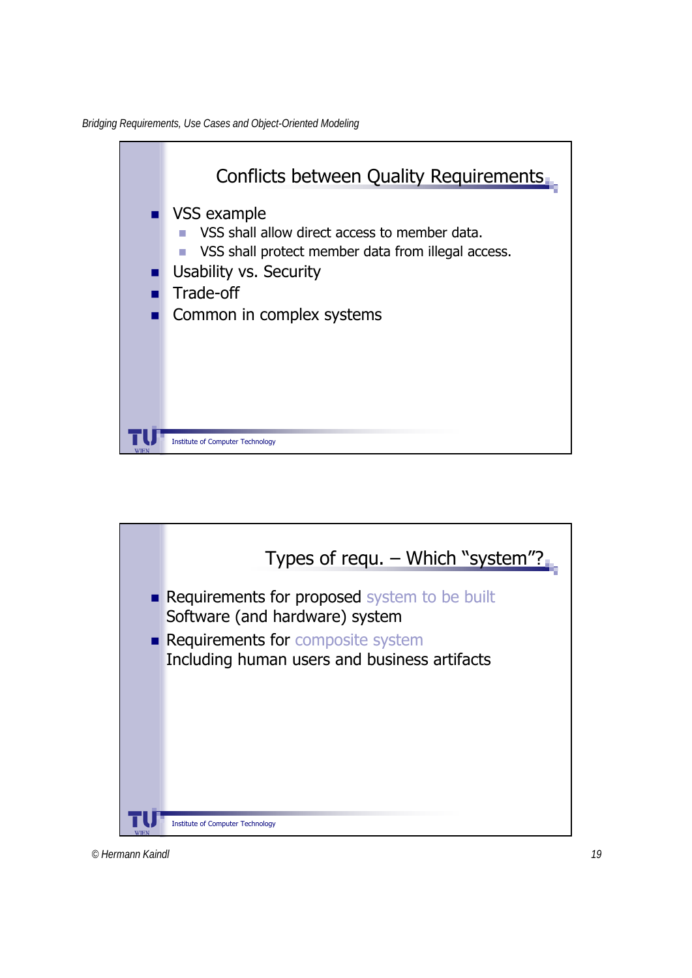

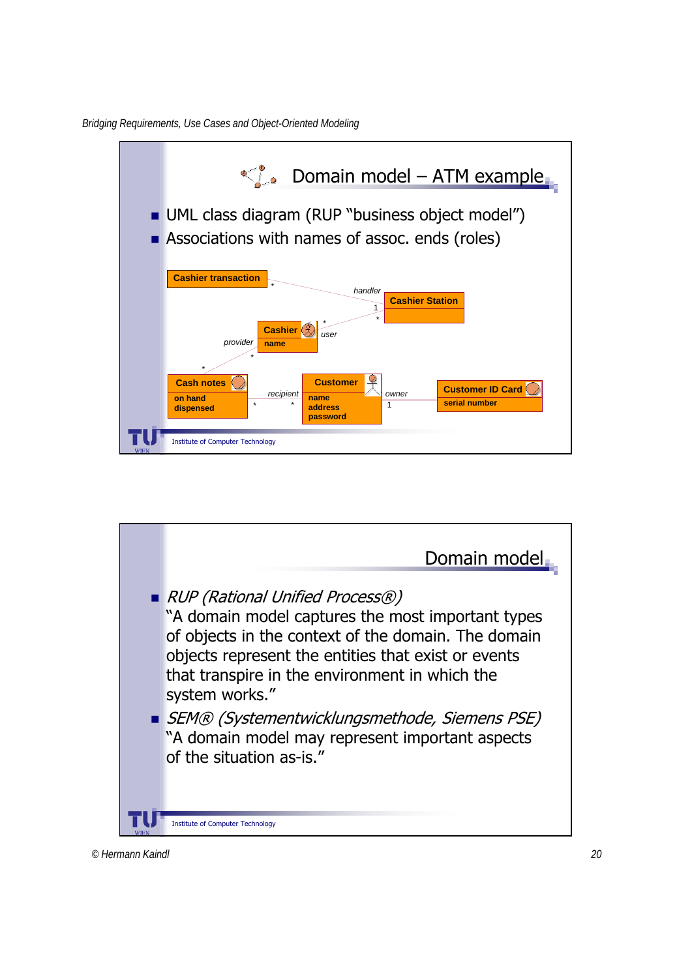*Bridging Requirements, Use Cases and Object-Oriented Modeling*



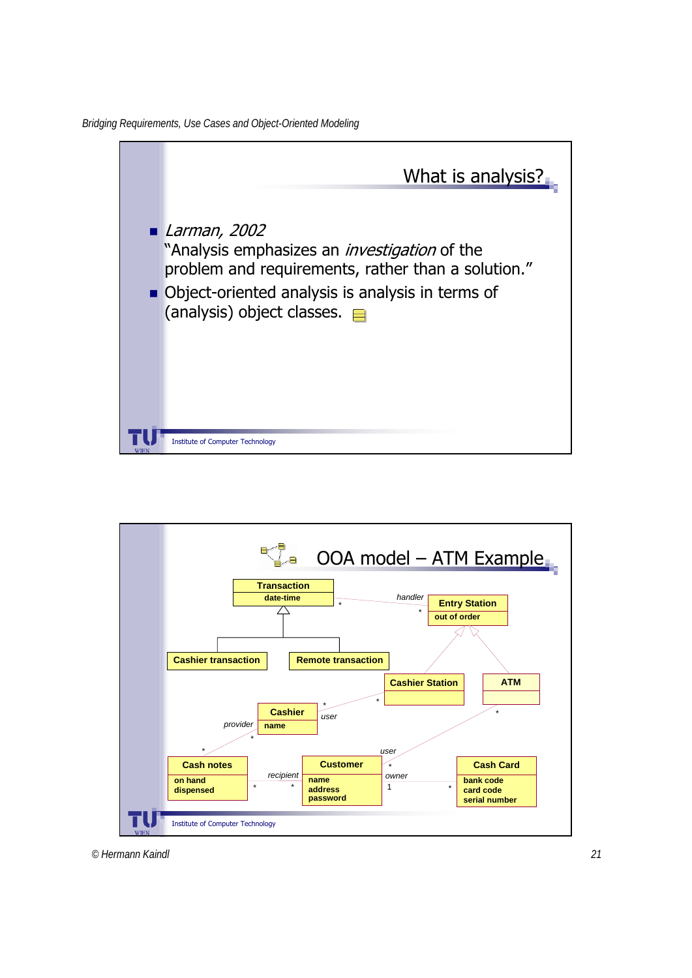

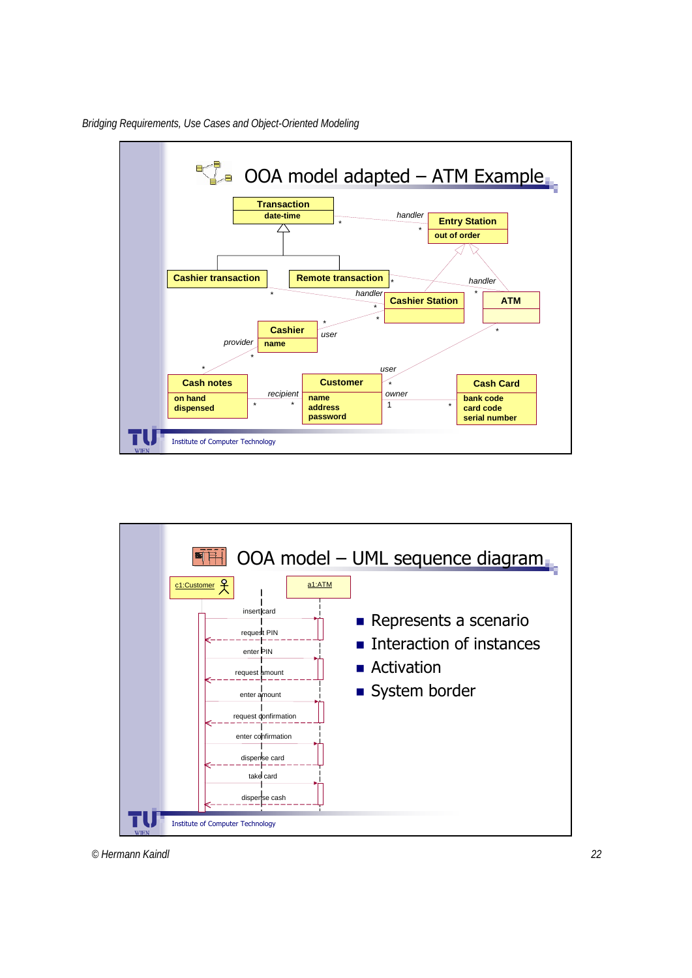

*Bridging Requirements, Use Cases and Object-Oriented Modeling*

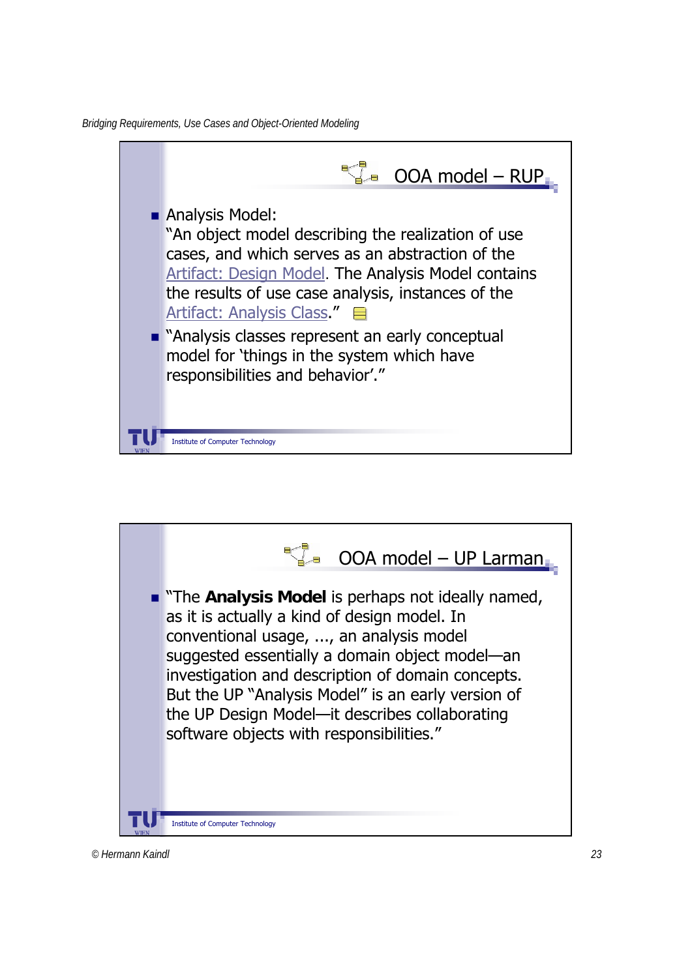*Bridging Requirements, Use Cases and Object-Oriented Modeling*



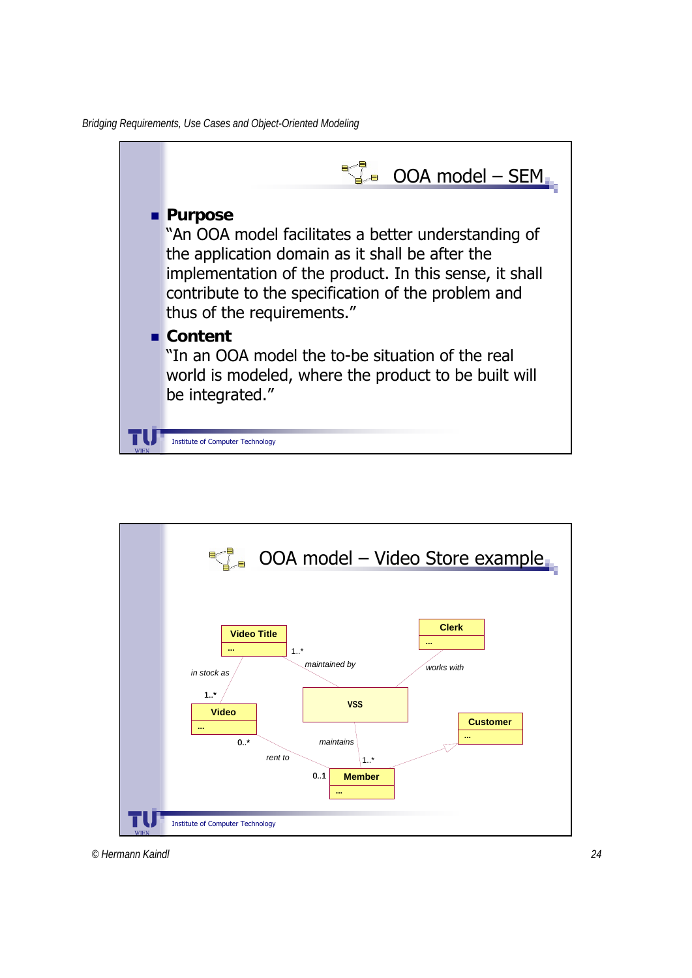

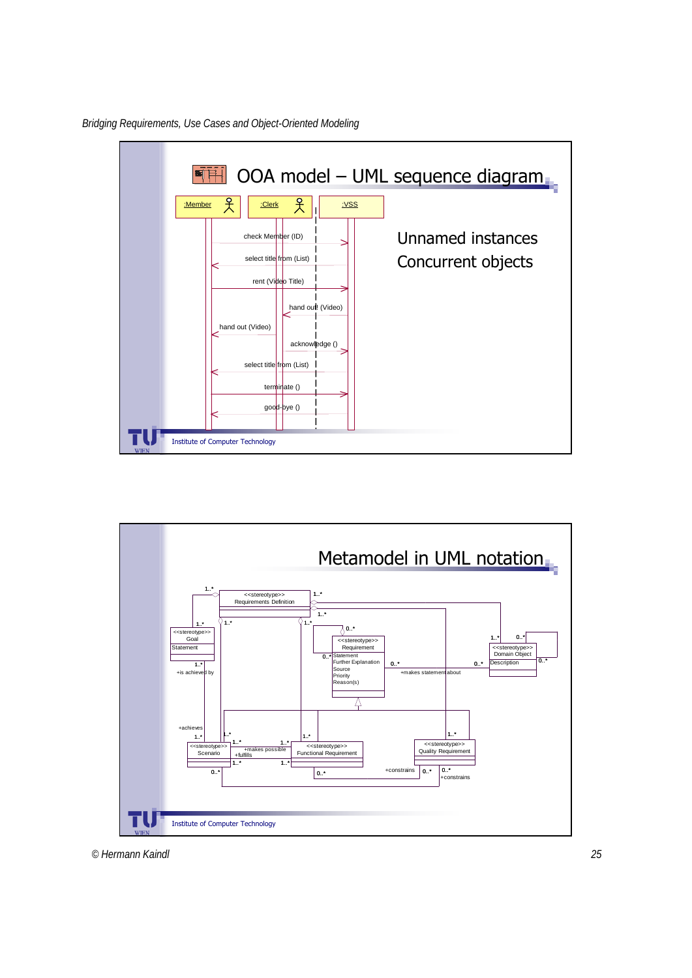

*Bridging Requirements, Use Cases and Object-Oriented Modeling*

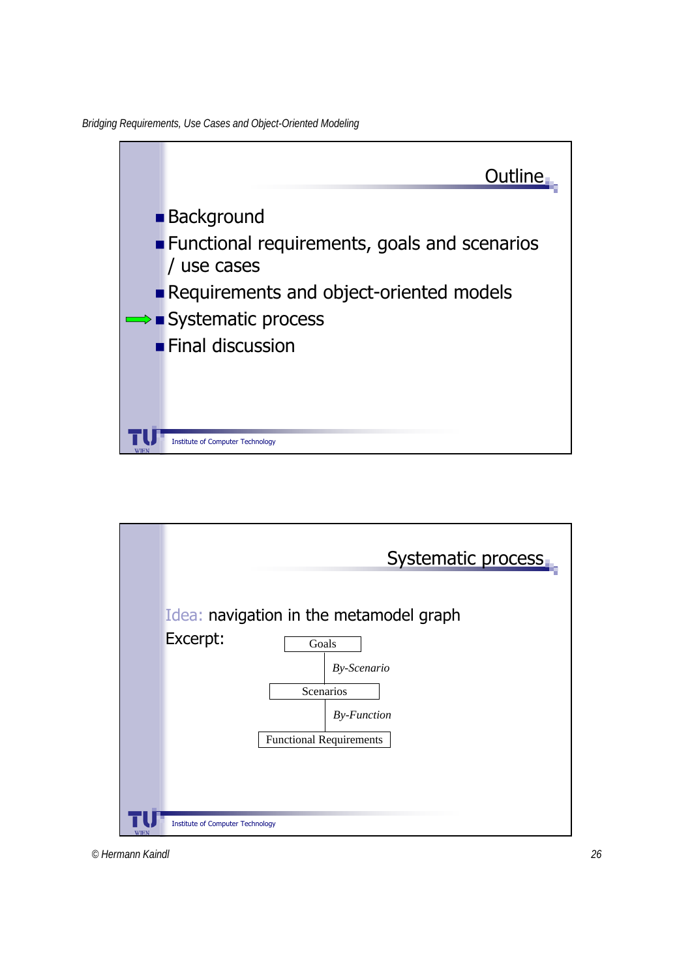*Bridging Requirements, Use Cases and Object-Oriented Modeling*



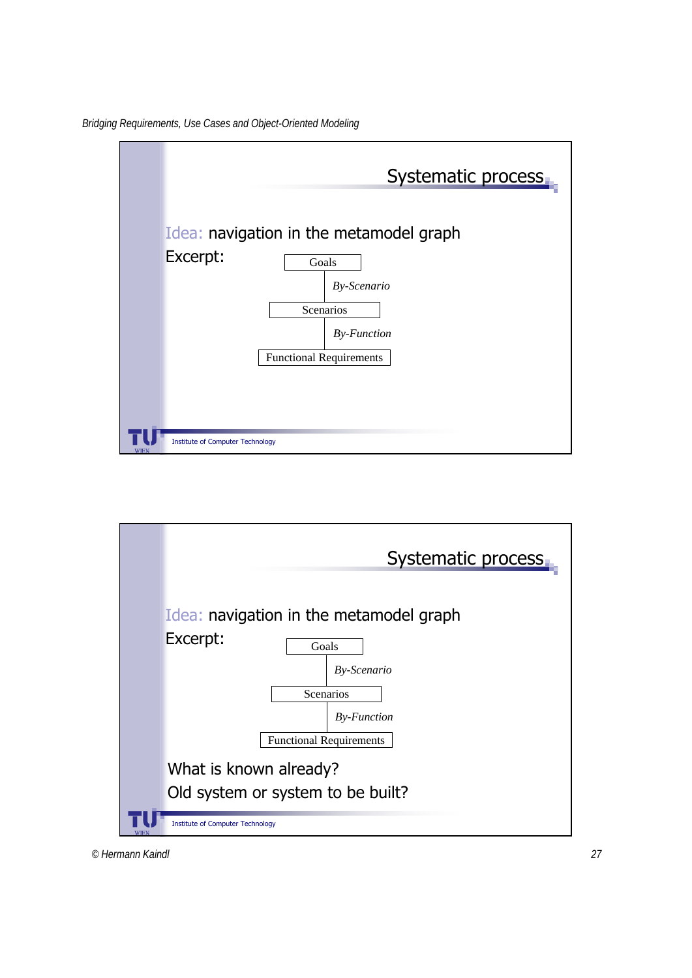



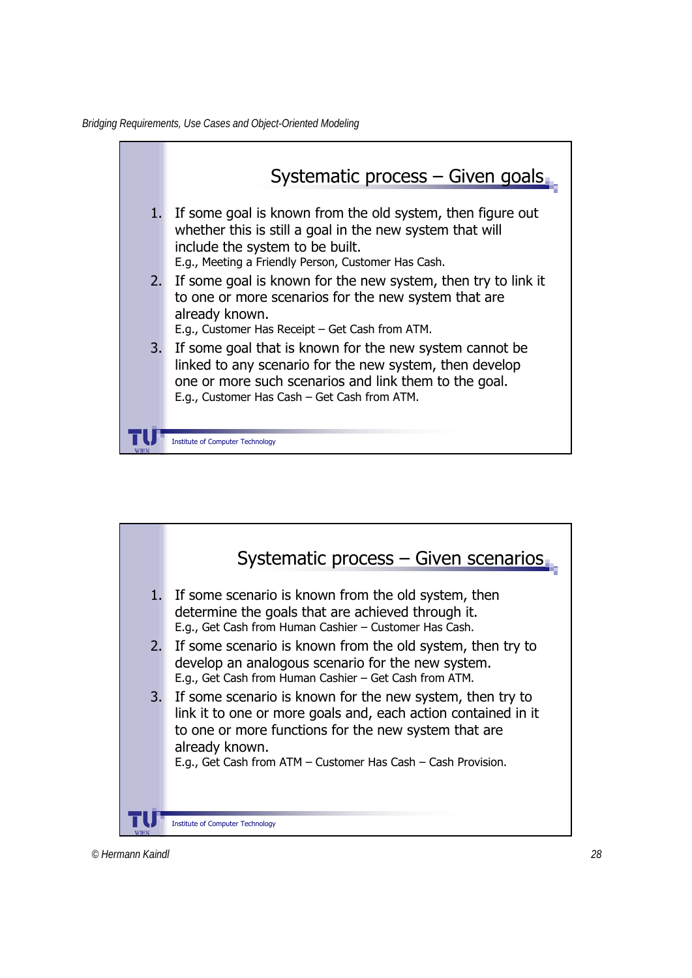

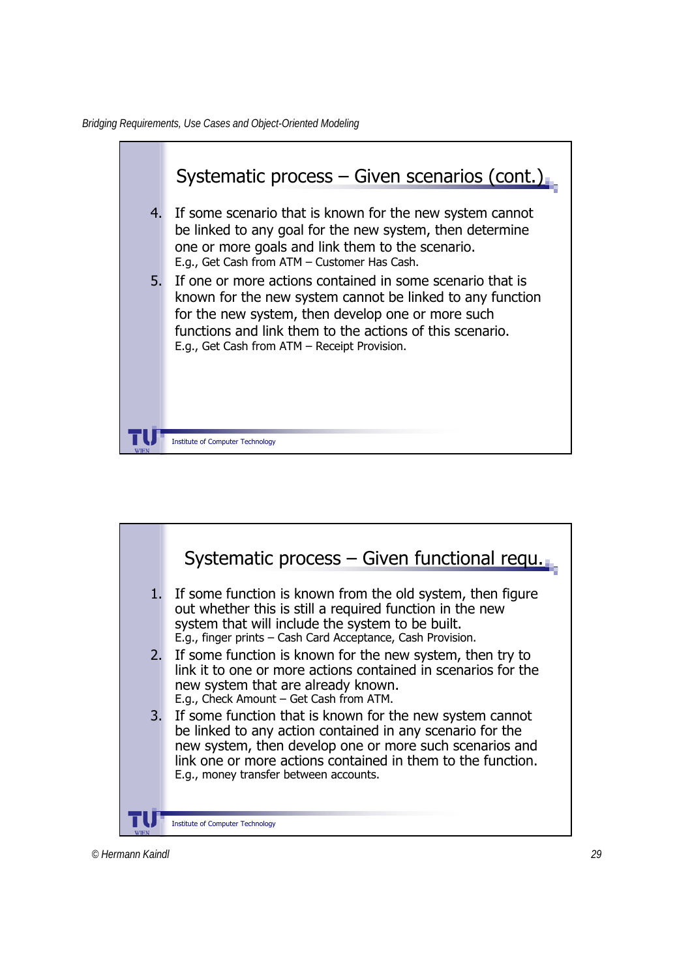*Bridging Requirements, Use Cases and Object-Oriented Modeling*



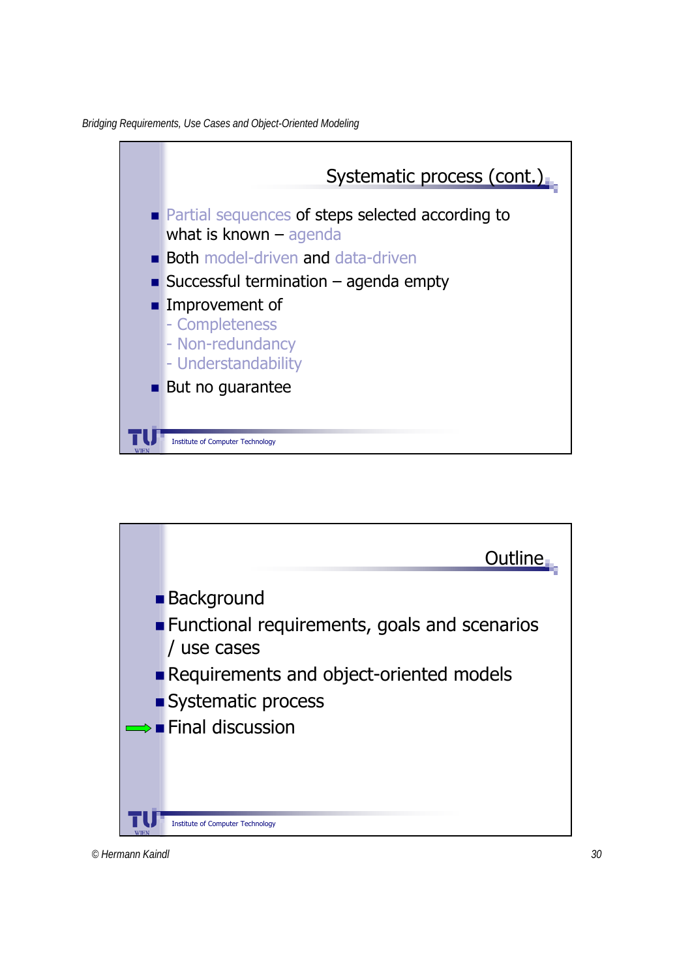*Bridging Requirements, Use Cases and Object-Oriented Modeling*



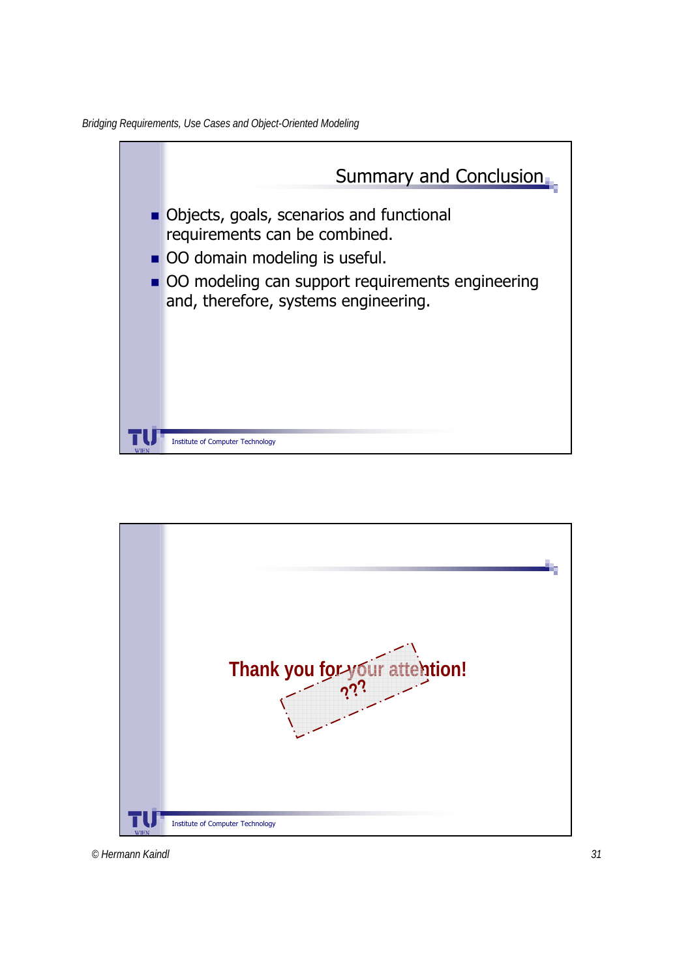*Bridging Requirements, Use Cases and Object-Oriented Modeling*